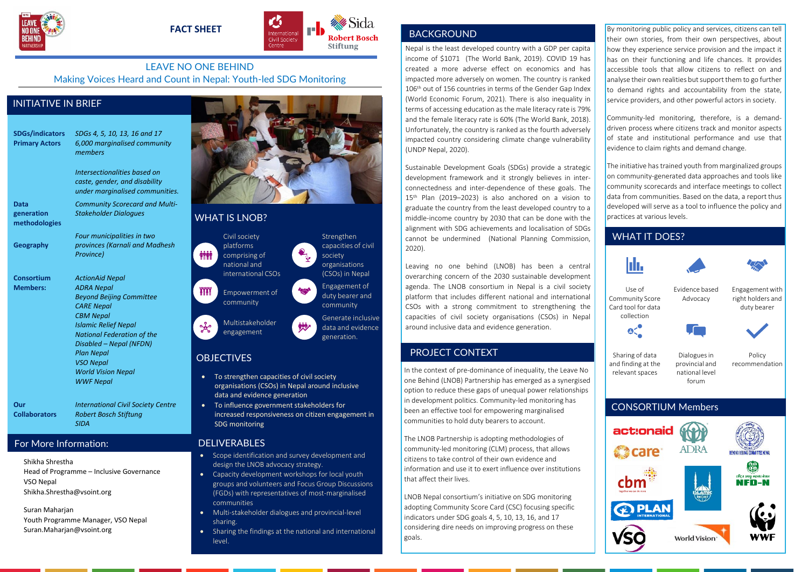



## LEAVE NO ONE BEHIND Making Voices Heard and Count in Nepal: Youth-led SDG Monitoring

## INITIATIVE IN BRIEF

**SDGs/indicators** *SDGs 4, 5, 10, 13, 16 and 17* **Primary Actors** *6,000 marginalised community members*

> *Intersectionalities based on caste, gender, and disability under marginalised communities.*

**Data generation methodologies** *Community Scorecard and Multi-*

*Stakeholder Dialogues*

*Province)*

*ActionAid Nepal*

**Geography**

**Consortium Members:**

*ADRA Nepal Beyond Beijing Committee CARE Nepal CBM Nepal Islamic Relief Nepal National Federation of the Disabled – Nepal (NFDN) Plan Nepal VSO Nepal World Vision Nepal*

*Four municipalities in two provinces (Karnali and Madhesh* 

**Our Collaborators**

*International Civil Society Centre Robert Bosch Stiftung SIDA*

*WWF Nepal*

# For More Information:

Shikha Shrestha Head of Programme – Inclusive Governance VSO Nepal Shikha.Shrestha@vsoint.org

Suran Maharjan Youth Programme Manager, VSO Nepal Suran.Maharjan@vsoint.org



## WHAT IS LNOB?

*ini***n** 

**YYYY** 

ಕ್ಷ್ಮಿ



# **OBJECTIVES**

- To strengthen capacities of civil society organisations (CSOs) in Nepal around inclusive data and evidence generation
- To influence government stakeholders for increased responsiveness on citizen engagement in SDG monitoring

#### DELIVERABLES

- Scope identification and survey development and design the LNOB advocacy strategy.
- Capacity development workshops for local youth groups and volunteers and Focus Group Discussions (FGDs) with representatives of most-marginalised communities
- Multi-stakeholder dialogues and provincial-level sharing.
- Sharing the findings at the national and international level.

# **BACKGROUND**

Nepal is the least developed country with a GDP per capita income of \$1071 (The World Bank, 2019). COVID 19 has created a more adverse effect on economics and has impacted more adversely on women. The country is ranked 106th out of 156 countries in terms of the Gender Gap Index (World Economic Forum, 2021). There is also inequality in terms of accessing education as the male literacy rate is 79% and the female literacy rate is 60% (The World Bank, 2018). Unfortunately, the country is ranked as the fourth adversely impacted country considering climate change vulnerability (UNDP Nepal, 2020).

Sustainable Development Goals (SDGs) provide a strategic development framework and it strongly believes in interconnectedness and inter-dependence of these goals. The 15th Plan (2019–2023) is also anchored on a vision to graduate the country from the least developed country to a middle-income country by 2030 that can be done with the alignment with SDG achievements and localisation of SDGs Civil society **Strengthen** Strengthen **Commission**, **WHAT IT DOES?** Commission, **WHAT IT DOES?** 2020).

> Leaving no one behind (LNOB) has been a central overarching concern of the 2030 sustainable development agenda. The LNOB consortium in Nepal is a civil society platform that includes different national and international CSOs with a strong commitment to strengthening the capacities of civil society organisations (CSOs) in Nepal around inclusive data and evidence generation.

# PROJECT CONTEXT

In the context of pre-dominance of inequality, the Leave No one Behind (LNOB) Partnership has emerged as a synergised option to reduce these gaps of unequal power relationships in development politics. Community-led monitoring has been an effective tool for empowering marginalised communities to hold duty bearers to account.

The LNOB Partnership is adopting methodologies of community-led monitoring (CLM) process, that allows citizens to take control of their own evidence and information and use it to exert influence over institutions that affect their lives.

LNOB Nepal consortium's initiative on SDG monitoring adopting Community Score Card (CSC) focusing specific indicators under SDG goals 4, 5, 10, 13, 16, and 17 considering dire needs on improving progress on these goals.

By monitoring public policy and services, citizens can tell their own stories, from their own perspectives, about how they experience service provision and the impact it has on their functioning and life chances. It provides accessible tools that allow citizens to reflect on and analyse their own realities but support them to go further to demand rights and accountability from the state. service providers, and other powerful actors in society.

Community-led monitoring, therefore, is a demanddriven process where citizens track and monitor aspects of state and institutional performance and use that evidence to claim rights and demand change.

The initiative has trained youth from marginalized groups on community-generated data approaches and tools like community scorecards and interface meetings to collect data from communities. Based on the data, a report thus developed will serve as a tool to influence the policy and practices at various levels.



World Vision\*

**WWF** 

**COPLAN**